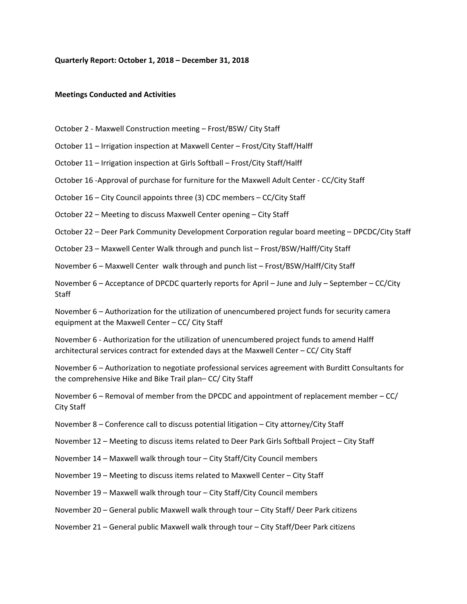### **Quarterly Report: October 1, 2018 – December 31, 2018**

### **Meetings Conducted and Activities**

October 2 ‐ Maxwell Construction meeting – Frost/BSW/ City Staff

October 11 – Irrigation inspection at Maxwell Center – Frost/City Staff/Halff

October 11 – Irrigation inspection at Girls Softball – Frost/City Staff/Halff

October 16 ‐Approval of purchase for furniture for the Maxwell Adult Center ‐ CC/City Staff

October 16 – City Council appoints three (3) CDC members – CC/City Staff

October 22 – Meeting to discuss Maxwell Center opening – City Staff

October 22 – Deer Park Community Development Corporation regular board meeting – DPCDC/City Staff

October 23 – Maxwell Center Walk through and punch list – Frost/BSW/Halff/City Staff

November 6 – Maxwell Center walk through and punch list – Frost/BSW/Halff/City Staff

November 6 – Acceptance of DPCDC quarterly reports for April – June and July – September – CC/City **Staff** 

November 6 – Authorization for the utilization of unencumbered project funds for security camera equipment at the Maxwell Center – CC/ City Staff

November 6 ‐ Authorization for the utilization of unencumbered project funds to amend Halff architectural services contract for extended days at the Maxwell Center – CC/ City Staff

November 6 – Authorization to negotiate professional services agreement with Burditt Consultants for the comprehensive Hike and Bike Trail plan– CC/ City Staff

November 6 – Removal of member from the DPCDC and appointment of replacement member – CC/ City Staff

November 8 – Conference call to discuss potential litigation – City attorney/City Staff

November 12 – Meeting to discuss items related to Deer Park Girls Softball Project – City Staff

November 14 – Maxwell walk through tour – City Staff/City Council members

November 19 – Meeting to discuss items related to Maxwell Center – City Staff

November 19 – Maxwell walk through tour – City Staff/City Council members

November 20 – General public Maxwell walk through tour – City Staff/ Deer Park citizens

November 21 – General public Maxwell walk through tour – City Staff/Deer Park citizens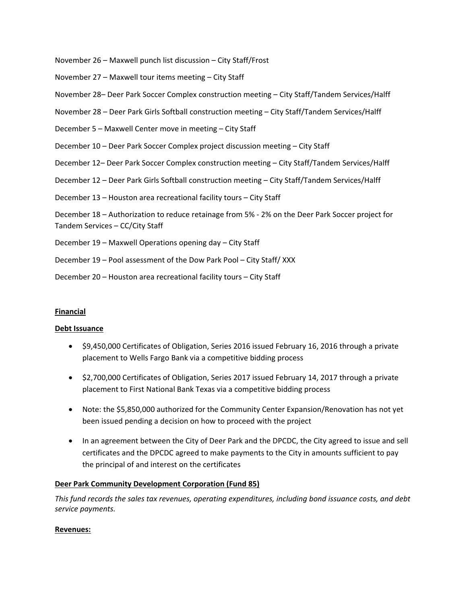November 26 – Maxwell punch list discussion – City Staff/Frost

November 27 – Maxwell tour items meeting – City Staff

November 28– Deer Park Soccer Complex construction meeting – City Staff/Tandem Services/Halff

November 28 – Deer Park Girls Softball construction meeting – City Staff/Tandem Services/Halff

December 5 – Maxwell Center move in meeting – City Staff

December 10 – Deer Park Soccer Complex project discussion meeting – City Staff

December 12– Deer Park Soccer Complex construction meeting – City Staff/Tandem Services/Halff

December 12 – Deer Park Girls Softball construction meeting – City Staff/Tandem Services/Halff

December 13 – Houston area recreational facility tours – City Staff

December 18 – Authorization to reduce retainage from 5% ‐ 2% on the Deer Park Soccer project for Tandem Services – CC/City Staff

- December 19 Maxwell Operations opening day City Staff
- December 19 Pool assessment of the Dow Park Pool City Staff/ XXX
- December 20 Houston area recreational facility tours City Staff

## **Financial**

## **Debt Issuance**

- \$9,450,000 Certificates of Obligation, Series 2016 issued February 16, 2016 through a private placement to Wells Fargo Bank via a competitive bidding process
- \$2,700,000 Certificates of Obligation, Series 2017 issued February 14, 2017 through a private placement to First National Bank Texas via a competitive bidding process
- Note: the \$5,850,000 authorized for the Community Center Expansion/Renovation has not yet been issued pending a decision on how to proceed with the project
- In an agreement between the City of Deer Park and the DPCDC, the City agreed to issue and sell certificates and the DPCDC agreed to make payments to the City in amounts sufficient to pay the principal of and interest on the certificates

# **Deer Park Community Development Corporation (Fund 85)**

*This fund records the sales tax revenues, operating expenditures, including bond issuance costs, and debt service payments.*

## **Revenues:**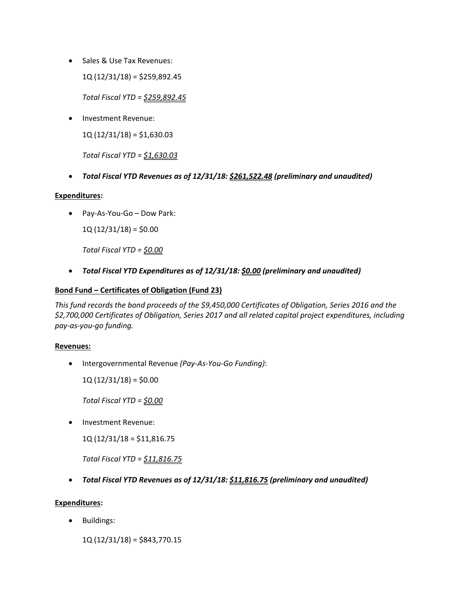• Sales & Use Tax Revenues:

1Q (12/31/18) = \$259,892.45

*Total Fiscal YTD = \$259,892.45*

Investment Revenue:

 $1Q(12/31/18) = $1,630.03$ 

*Total Fiscal YTD = \$1,630.03*

*Total Fiscal YTD Revenues as of 12/31/18: \$261,522.48 (preliminary and unaudited)*

## **Expenditures:**

Pay‐As‐You‐Go – Dow Park:

 $1Q(12/31/18) = $0.00$ 

*Total Fiscal YTD = \$0.00*

*Total Fiscal YTD Expenditures as of 12/31/18: \$0.00 (preliminary and unaudited)*

# **Bond Fund – Certificates of Obligation (Fund 23)**

*This fund records the bond proceeds of the \$9,450,000 Certificates of Obligation, Series 2016 and the \$2,700,000 Certificates of Obligation, Series 2017 and all related capital project expenditures, including pay‐as‐you‐go funding.*

# **Revenues:**

Intergovernmental Revenue *(Pay‐As‐You‐Go Funding)*:

 $1Q(12/31/18) = $0.00$ 

*Total Fiscal YTD = \$0.00*

• Investment Revenue:

1Q (12/31/18 = \$11,816.75

*Total Fiscal YTD = \$11,816.75*

*Total Fiscal YTD Revenues as of 12/31/18: \$11,816.75 (preliminary and unaudited)*

# **Expenditures:**

• Buildings:

1Q (12/31/18) = \$843,770.15